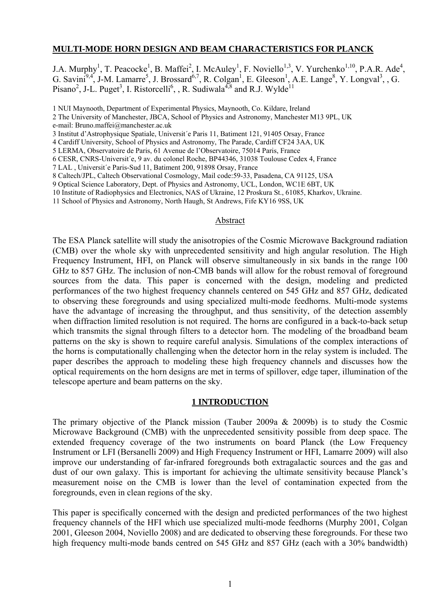## **MULTI-MODE HORN DESIGN AND BEAM CHARACTERISTICS FOR PLANCK**

J.A. Murphy<sup>1</sup>, T. Peacocke<sup>1</sup>, B. Maffei<sup>2</sup>, I. McAuley<sup>1</sup>, F. Noviello<sup>1,3</sup>, V. Yurchenko<sup>1,10</sup>, P.A.R. Ade<sup>4</sup>, G. Savini<sup>9,4</sup>, J-M. Lamarre<sup>5</sup>, J. Brossard<sup>6,7</sup>, R. Colgan<sup>1</sup>, E. Gleeson<sup>1</sup>, A.E. Lange<sup>8</sup>, Y. Longval<sup>3</sup>, , G. Pisano<sup>2</sup>, J-L. Puget<sup>3</sup>, I. Ristorcelli<sup>6</sup>, , R. Sudiwala<sup>4,8</sup> and R.J. Wylde<sup>11</sup>

1 NUI Maynooth, Department of Experimental Physics, Maynooth, Co. Kildare, Ireland

2 The University of Manchester, JBCA, School of Physics and Astronomy, Manchester M13 9PL, UK e-mail: Bruno.maffei@manchester.ac.uk

3 Institut d'Astrophysique Spatiale, Universit´e Paris 11, Batiment 121, 91405 Orsay, France

4 Cardiff University, School of Physics and Astronomy, The Parade, Cardiff CF24 3AA, UK

5 LERMA, Observatoire de Paris, 61 Avenue de l'Observatoire, 75014 Paris, France

6 CESR, CNRS-Universit´e, 9 av. du colonel Roche, BP44346, 31038 Toulouse Cedex 4, France

7 LAL , Universit´e Paris-Sud 11, Batiment 200, 91898 Orsay, France

8 Caltech/JPL, Caltech Observational Cosmology, Mail code:59-33, Pasadena, CA 91125, USA

9 Optical Science Laboratory, Dept. of Physics and Astronomy, UCL, London, WC1E 6BT, UK

10 Institute of Radiophysics and Electronics, NAS of Ukraine, 12 Proskura St., 61085, Kharkov, Ukraine.

11 School of Physics and Astronomy, North Haugh, St Andrews, Fife KY16 9SS, UK

#### Abstract

The ESA Planck satellite will study the anisotropies of the Cosmic Microwave Background radiation (CMB) over the whole sky with unprecedented sensitivity and high angular resolution. The High Frequency Instrument, HFI, on Planck will observe simultaneously in six bands in the range 100 GHz to 857 GHz. The inclusion of non-CMB bands will allow for the robust removal of foreground sources from the data. This paper is concerned with the design, modeling and predicted performances of the two highest frequency channels centered on 545 GHz and 857 GHz, dedicated to observing these foregrounds and using specialized multi-mode feedhorns. Multi-mode systems have the advantage of increasing the throughput, and thus sensitivity, of the detection assembly when diffraction limited resolution is not required. The horns are configured in a back-to-back setup which transmits the signal through filters to a detector horn. The modeling of the broadband beam patterns on the sky is shown to require careful analysis. Simulations of the complex interactions of the horns is computationally challenging when the detector horn in the relay system is included. The paper describes the approach to modeling these high frequency channels and discusses how the optical requirements on the horn designs are met in terms of spillover, edge taper, illumination of the telescope aperture and beam patterns on the sky.

## **1 INTRODUCTION**

The primary objective of the Planck mission (Tauber 2009a & 2009b) is to study the Cosmic Microwave Background (CMB) with the unprecedented sensitivity possible from deep space. The extended frequency coverage of the two instruments on board Planck (the Low Frequency Instrument or LFI (Bersanelli 2009) and High Frequency Instrument or HFI, Lamarre 2009) will also improve our understanding of far-infrared foregrounds both extragalactic sources and the gas and dust of our own galaxy. This is important for achieving the ultimate sensitivity because Planck's measurement noise on the CMB is lower than the level of contamination expected from the foregrounds, even in clean regions of the sky.

This paper is specifically concerned with the design and predicted performances of the two highest frequency channels of the HFI which use specialized multi-mode feedhorns (Murphy 2001, Colgan 2001, Gleeson 2004, Noviello 2008) and are dedicated to observing these foregrounds. For these two high frequency multi-mode bands centred on 545 GHz and 857 GHz (each with a 30% bandwidth)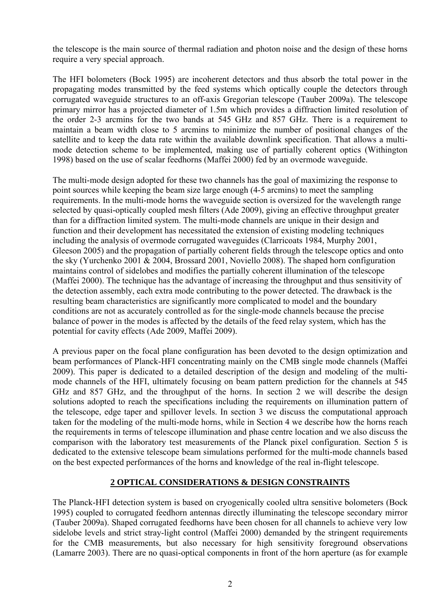the telescope is the main source of thermal radiation and photon noise and the design of these horns require a very special approach.

The HFI bolometers (Bock 1995) are incoherent detectors and thus absorb the total power in the propagating modes transmitted by the feed systems which optically couple the detectors through corrugated waveguide structures to an off-axis Gregorian telescope (Tauber 2009a). The telescope primary mirror has a projected diameter of 1.5m which provides a diffraction limited resolution of the order 2-3 arcmins for the two bands at 545 GHz and 857 GHz. There is a requirement to maintain a beam width close to 5 arcmins to minimize the number of positional changes of the satellite and to keep the data rate within the available downlink specification. That allows a multimode detection scheme to be implemented, making use of partially coherent optics (Withington 1998) based on the use of scalar feedhorns (Maffei 2000) fed by an overmode waveguide.

The multi-mode design adopted for these two channels has the goal of maximizing the response to point sources while keeping the beam size large enough (4-5 arcmins) to meet the sampling requirements. In the multi-mode horns the waveguide section is oversized for the wavelength range selected by quasi-optically coupled mesh filters (Ade 2009), giving an effective throughput greater than for a diffraction limited system. The multi-mode channels are unique in their design and function and their development has necessitated the extension of existing modeling techniques including the analysis of overmode corrugated waveguides (Clarricoats 1984, Murphy 2001, Gleeson 2005) and the propagation of partially coherent fields through the telescope optics and onto the sky (Yurchenko 2001 & 2004, Brossard 2001, Noviello 2008). The shaped horn configuration maintains control of sidelobes and modifies the partially coherent illumination of the telescope (Maffei 2000). The technique has the advantage of increasing the throughput and thus sensitivity of the detection assembly, each extra mode contributing to the power detected. The drawback is the resulting beam characteristics are significantly more complicated to model and the boundary conditions are not as accurately controlled as for the single-mode channels because the precise balance of power in the modes is affected by the details of the feed relay system, which has the potential for cavity effects (Ade 2009, Maffei 2009).

A previous paper on the focal plane configuration has been devoted to the design optimization and beam performances of Planck-HFI concentrating mainly on the CMB single mode channels (Maffei 2009). This paper is dedicated to a detailed description of the design and modeling of the multimode channels of the HFI, ultimately focusing on beam pattern prediction for the channels at 545 GHz and 857 GHz, and the throughput of the horns. In section 2 we will describe the design solutions adopted to reach the specifications including the requirements on illumination pattern of the telescope, edge taper and spillover levels. In section 3 we discuss the computational approach taken for the modeling of the multi-mode horns, while in Section 4 we describe how the horns reach the requirements in terms of telescope illumination and phase centre location and we also discuss the comparison with the laboratory test measurements of the Planck pixel configuration. Section 5 is dedicated to the extensive telescope beam simulations performed for the multi-mode channels based on the best expected performances of the horns and knowledge of the real in-flight telescope.

# **2 OPTICAL CONSIDERATIONS & DESIGN CONSTRAINTS**

The Planck-HFI detection system is based on cryogenically cooled ultra sensitive bolometers (Bock 1995) coupled to corrugated feedhorn antennas directly illuminating the telescope secondary mirror (Tauber 2009a). Shaped corrugated feedhorns have been chosen for all channels to achieve very low sidelobe levels and strict stray-light control (Maffei 2000) demanded by the stringent requirements for the CMB measurements, but also necessary for high sensitivity foreground observations (Lamarre 2003). There are no quasi-optical components in front of the horn aperture (as for example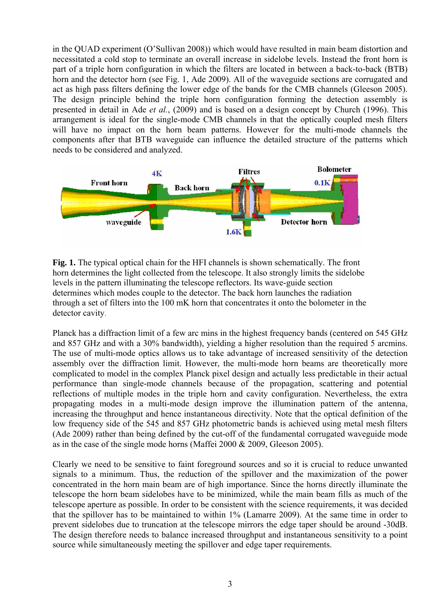in the QUAD experiment (O'Sullivan 2008)) which would have resulted in main beam distortion and necessitated a cold stop to terminate an overall increase in sidelobe levels. Instead the front horn is part of a triple horn configuration in which the filters are located in between a back-to-back (BTB) horn and the detector horn (see Fig. 1, Ade 2009). All of the waveguide sections are corrugated and act as high pass filters defining the lower edge of the bands for the CMB channels (Gleeson 2005). The design principle behind the triple horn configuration forming the detection assembly is presented in detail in Ade *et al.*, (2009) and is based on a design concept by Church (1996). This arrangement is ideal for the single-mode CMB channels in that the optically coupled mesh filters will have no impact on the horn beam patterns. However for the multi-mode channels the components after that BTB waveguide can influence the detailed structure of the patterns which needs to be considered and analyzed.



**Fig. 1.** The typical optical chain for the HFI channels is shown schematically. The front horn determines the light collected from the telescope. It also strongly limits the sidelobe levels in the pattern illuminating the telescope reflectors. Its wave-guide section determines which modes couple to the detector. The back horn launches the radiation through a set of filters into the 100 mK horn that concentrates it onto the bolometer in the detector cavity.

Planck has a diffraction limit of a few arc mins in the highest frequency bands (centered on 545 GHz and 857 GHz and with a 30% bandwidth), yielding a higher resolution than the required 5 arcmins. The use of multi-mode optics allows us to take advantage of increased sensitivity of the detection assembly over the diffraction limit. However, the multi-mode horn beams are theoretically more complicated to model in the complex Planck pixel design and actually less predictable in their actual performance than single-mode channels because of the propagation, scattering and potential reflections of multiple modes in the triple horn and cavity configuration. Nevertheless, the extra propagating modes in a multi-mode design improve the illumination pattern of the antenna, increasing the throughput and hence instantaneous directivity. Note that the optical definition of the low frequency side of the 545 and 857 GHz photometric bands is achieved using metal mesh filters (Ade 2009) rather than being defined by the cut-off of the fundamental corrugated waveguide mode as in the case of the single mode horns (Maffei 2000 & 2009, Gleeson 2005).

Clearly we need to be sensitive to faint foreground sources and so it is crucial to reduce unwanted signals to a minimum. Thus, the reduction of the spillover and the maximization of the power concentrated in the horn main beam are of high importance. Since the horns directly illuminate the telescope the horn beam sidelobes have to be minimized, while the main beam fills as much of the telescope aperture as possible. In order to be consistent with the science requirements, it was decided that the spillover has to be maintained to within 1% (Lamarre 2009). At the same time in order to prevent sidelobes due to truncation at the telescope mirrors the edge taper should be around -30dB. The design therefore needs to balance increased throughput and instantaneous sensitivity to a point source while simultaneously meeting the spillover and edge taper requirements.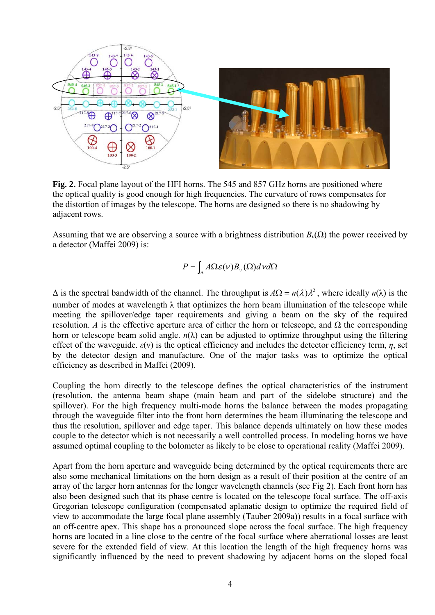

Fig. 2. Focal plane layout of the HFI horns. The 545 and 857 GHz horns are positioned where the optical quality is good enough for high frequencies. The curvature of rows compensates for the distortion of images by the telescope. The horns are designed so there is no shadowing by adjacent rows.

Assuming that we are observing a source with a brightness distribution  $B_\nu(\Omega)$  the power received by a detector (Maffei 2009) is:

$$
P = \int_{\Delta} A\Omega \varepsilon(\nu) B_{\nu}(\Omega) d\nu d\Omega
$$

 $\Delta$  is the spectral bandwidth of the channel. The throughput is  $A\Omega = n(\lambda)\lambda^2$ , where ideally  $n(\lambda)$  is the number of modes at wavelength  $\lambda$  that optimizes the horn beam illumination of the telescope while meeting the spillover/edge taper requirements and giving a beam on the sky of the required resolution. *A* is the effective aperture area of either the horn or telescope, and  $Ω$  the corresponding horn or telescope beam solid angle.  $n(\lambda)$  can be adjusted to optimize throughput using the filtering effect of the waveguide.  $\varepsilon(v)$  is the optical efficiency and includes the detector efficiency term,  $\eta$ , set by the detector design and manufacture. One of the major tasks was to optimize the optical efficiency as described in Maffei (2009).

Coupling the horn directly to the telescope defines the optical characteristics of the instrument (resolution, the antenna beam shape (main beam and part of the sidelobe structure) and the spillover). For the high frequency multi-mode horns the balance between the modes propagating through the waveguide filter into the front horn determines the beam illuminating the telescope and thus the resolution, spillover and edge taper. This balance depends ultimately on how these modes couple to the detector which is not necessarily a well controlled process. In modeling horns we have assumed optimal coupling to the bolometer as likely to be close to operational reality (Maffei 2009).

Apart from the horn aperture and waveguide being determined by the optical requirements there are also some mechanical limitations on the horn design as a result of their position at the centre of an array of the larger horn antennas for the longer wavelength channels (see Fig 2). Each front horn has also been designed such that its phase centre is located on the telescope focal surface. The off-axis Gregorian telescope configuration (compensated aplanatic design to optimize the required field of view to accommodate the large focal plane assembly (Tauber 2009a)) results in a focal surface with an off-centre apex. This shape has a pronounced slope across the focal surface. The high frequency horns are located in a line close to the centre of the focal surface where aberrational losses are least severe for the extended field of view. At this location the length of the high frequency horns was significantly influenced by the need to prevent shadowing by adjacent horns on the sloped focal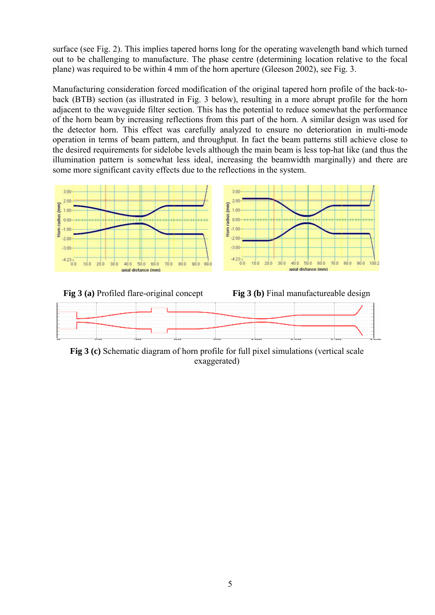surface (see Fig. 2). This implies tapered horns long for the operating wavelength band which turned out to be challenging to manufacture. The phase centre (determining location relative to the focal plane) was required to be within 4 mm of the horn aperture (Gleeson 2002), see Fig. 3.

Manufacturing consideration forced modification of the original tapered horn profile of the back-toback (BTB) section (as illustrated in Fig. 3 below), resulting in a more abrupt profile for the horn adjacent to the waveguide filter section. This has the potential to reduce somewhat the performance of the horn beam by increasing reflections from this part of the horn. A similar design was used for the detector horn. This effect was carefully analyzed to ensure no deterioration in multi-mode operation in terms of beam pattern, and throughput. In fact the beam patterns still achieve close to the desired requirements for sidelobe levels although the main beam is less top-hat like (and thus the illumination pattern is somewhat less ideal, increasing the beamwidth marginally) and there are some more significant cavity effects due to the reflections in the system.









**Fig 3 (c)** Schematic diagram of horn profile for full pixel simulations (vertical scale exaggerated)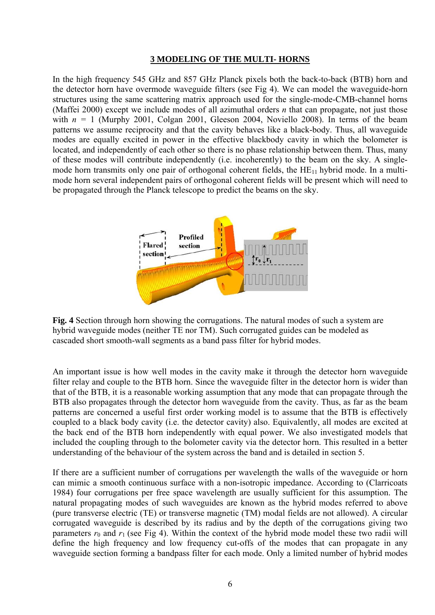### **3 MODELING OF THE MULTI- HORNS**

In the high frequency 545 GHz and 857 GHz Planck pixels both the back-to-back (BTB) horn and the detector horn have overmode waveguide filters (see Fig 4). We can model the waveguide-horn structures using the same scattering matrix approach used for the single-mode-CMB-channel horns (Maffei 2000) except we include modes of all azimuthal orders *n* that can propagate, not just those with  $n = 1$  (Murphy 2001, Colgan 2001, Gleeson 2004, Noviello 2008). In terms of the beam patterns we assume reciprocity and that the cavity behaves like a black-body. Thus, all waveguide modes are equally excited in power in the effective blackbody cavity in which the bolometer is located, and independently of each other so there is no phase relationship between them. Thus, many of these modes will contribute independently (i.e. incoherently) to the beam on the sky. A singlemode horn transmits only one pair of orthogonal coherent fields, the  $HE_{11}$  hybrid mode. In a multimode horn several independent pairs of orthogonal coherent fields will be present which will need to be propagated through the Planck telescope to predict the beams on the sky.



**Fig. 4** Section through horn showing the corrugations. The natural modes of such a system are hybrid waveguide modes (neither TE nor TM). Such corrugated guides can be modeled as cascaded short smooth-wall segments as a band pass filter for hybrid modes.

An important issue is how well modes in the cavity make it through the detector horn waveguide filter relay and couple to the BTB horn. Since the waveguide filter in the detector horn is wider than that of the BTB, it is a reasonable working assumption that any mode that can propagate through the BTB also propagates through the detector horn waveguide from the cavity. Thus, as far as the beam patterns are concerned a useful first order working model is to assume that the BTB is effectively coupled to a black body cavity (i.e. the detector cavity) also. Equivalently, all modes are excited at the back end of the BTB horn independently with equal power. We also investigated models that included the coupling through to the bolometer cavity via the detector horn. This resulted in a better understanding of the behaviour of the system across the band and is detailed in section 5.

If there are a sufficient number of corrugations per wavelength the walls of the waveguide or horn can mimic a smooth continuous surface with a non-isotropic impedance. According to (Clarricoats 1984) four corrugations per free space wavelength are usually sufficient for this assumption. The natural propagating modes of such waveguides are known as the hybrid modes referred to above (pure transverse electric (TE) or transverse magnetic (TM) modal fields are not allowed). A circular corrugated waveguide is described by its radius and by the depth of the corrugations giving two parameters  $r_0$  and  $r_1$  (see Fig 4). Within the context of the hybrid mode model these two radii will define the high frequency and low frequency cut-offs of the modes that can propagate in any waveguide section forming a bandpass filter for each mode. Only a limited number of hybrid modes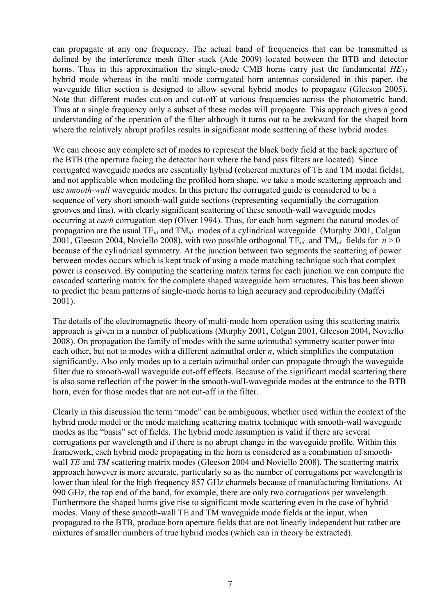can propagate at any one frequency. The actual band of frequencies that can be transmitted is defined by the interference mesh filter stack (Ade 2009) located between the BTB and detector horns. Thus in this approximation the single-mode CMB horns carry just the fundamental *HE<sub>11</sub>* hybrid mode whereas in the multi mode corrugated horn antennas considered in this paper, the waveguide filter section is designed to allow several hybrid modes to propagate (Gleeson 2005). Note that different modes cut-on and cut-off at various frequencies across the photometric band. Thus at a single frequency only a subset of these modes will propagate. This approach gives a good understanding of the operation of the filter although it turns out to be awkward for the shaped horn where the relatively abrupt profiles results in significant mode scattering of these hybrid modes.

We can choose any complete set of modes to represent the black body field at the back aperture of the BTB (the aperture facing the detector horn where the band pass filters are located). Since corrugated waveguide modes are essentially hybrid (coherent mixtures of TE and TM modal fields), and not applicable when modeling the profiled horn shape, we take a mode scattering approach and use *smooth-wall* waveguide modes. In this picture the corrugated guide is considered to be a sequence of very short smooth-wall guide sections (representing sequentially the corrugation grooves and fins), with clearly significant scattering of these smooth-wall waveguide modes occurring at *each* corrugation step (Olver 1994). Thus, for each horn segment the natural modes of propagation are the usual TE*nl* and TM*nl* modes of a cylindrical waveguide (Murphy 2001, Colgan 2001, Gleeson 2004, Noviello 2008), with two possible orthogonal  $TE_{nl}$  and  $TM_{nl}$  fields for  $n > 0$ because of the cylindrical symmetry. At the junction between two segments the scattering of power between modes occurs which is kept track of using a mode matching technique such that complex power is conserved. By computing the scattering matrix terms for each junction we can compute the cascaded scattering matrix for the complete shaped waveguide horn structures. This has been shown to predict the beam patterns of single-mode horns to high accuracy and reproducibility (Maffei 2001).

The details of the electromagnetic theory of multi-mode horn operation using this scattering matrix approach is given in a number of publications (Murphy 2001, Colgan 2001, Gleeson 2004, Noviello 2008). On propagation the family of modes with the same azimuthal symmetry scatter power into each other, but not to modes with a different azimuthal order *n*, which simplifies the computation significantly. Also only modes up to a certain azimuthal order can propagate through the waveguide filter due to smooth-wall waveguide cut-off effects. Because of the significant modal scattering there is also some reflection of the power in the smooth-wall-waveguide modes at the entrance to the BTB horn, even for those modes that are not cut-off in the filter.

Clearly in this discussion the term "mode" can be ambiguous, whether used within the context of the hybrid mode model or the mode matching scattering matrix technique with smooth-wall waveguide modes as the "basis" set of fields. The hybrid mode assumption is valid if there are several corrugations per wavelength and if there is no abrupt change in the waveguide profile. Within this framework, each hybrid mode propagating in the horn is considered as a combination of smoothwall *TE* and *TM* scattering matrix modes (Gleeson 2004 and Noviello 2008). The scattering matrix approach however is more accurate, particularly so as the number of corrugations per wavelength is lower than ideal for the high frequency 857 GHz channels because of manufacturing limitations. At 990 GHz, the top end of the band, for example, there are only two corrugations per wavelength. Furthermore the shaped horns give rise to significant mode scattering even in the case of hybrid modes. Many of these smooth-wall TE and TM waveguide mode fields at the input, when propagated to the BTB, produce horn aperture fields that are not linearly independent but rather are mixtures of smaller numbers of true hybrid modes (which can in theory be extracted).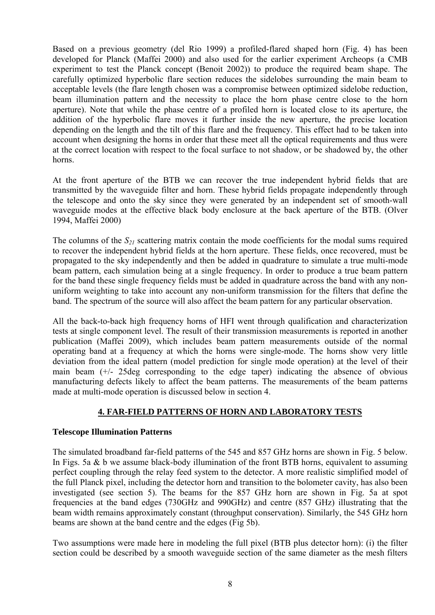Based on a previous geometry (del Rio 1999) a profiled-flared shaped horn (Fig. 4) has been developed for Planck (Maffei 2000) and also used for the earlier experiment Archeops (a CMB experiment to test the Planck concept (Benoit 2002)) to produce the required beam shape. The carefully optimized hyperbolic flare section reduces the sidelobes surrounding the main beam to acceptable levels (the flare length chosen was a compromise between optimized sidelobe reduction, beam illumination pattern and the necessity to place the horn phase centre close to the horn aperture). Note that while the phase centre of a profiled horn is located close to its aperture, the addition of the hyperbolic flare moves it further inside the new aperture, the precise location depending on the length and the tilt of this flare and the frequency. This effect had to be taken into account when designing the horns in order that these meet all the optical requirements and thus were at the correct location with respect to the focal surface to not shadow, or be shadowed by, the other horns.

At the front aperture of the BTB we can recover the true independent hybrid fields that are transmitted by the waveguide filter and horn. These hybrid fields propagate independently through the telescope and onto the sky since they were generated by an independent set of smooth-wall waveguide modes at the effective black body enclosure at the back aperture of the BTB. (Olver 1994, Maffei 2000)

The columns of the  $S_{21}$  scattering matrix contain the mode coefficients for the modal sums required to recover the independent hybrid fields at the horn aperture. These fields, once recovered, must be propagated to the sky independently and then be added in quadrature to simulate a true multi-mode beam pattern, each simulation being at a single frequency. In order to produce a true beam pattern for the band these single frequency fields must be added in quadrature across the band with any nonuniform weighting to take into account any non-uniform transmission for the filters that define the band. The spectrum of the source will also affect the beam pattern for any particular observation.

All the back-to-back high frequency horns of HFI went through qualification and characterization tests at single component level. The result of their transmission measurements is reported in another publication (Maffei 2009), which includes beam pattern measurements outside of the normal operating band at a frequency at which the horns were single-mode. The horns show very little deviation from the ideal pattern (model prediction for single mode operation) at the level of their main beam (+/- 25deg corresponding to the edge taper) indicating the absence of obvious manufacturing defects likely to affect the beam patterns. The measurements of the beam patterns made at multi-mode operation is discussed below in section 4.

## **4. FAR-FIELD PATTERNS OF HORN AND LABORATORY TESTS**

## **Telescope Illumination Patterns**

The simulated broadband far-field patterns of the 545 and 857 GHz horns are shown in Fig. 5 below. In Figs. 5a  $\&$  b we assume black-body illumination of the front BTB horns, equivalent to assuming perfect coupling through the relay feed system to the detector. A more realistic simplified model of the full Planck pixel, including the detector horn and transition to the bolometer cavity, has also been investigated (see section 5). The beams for the 857 GHz horn are shown in Fig. 5a at spot frequencies at the band edges (730GHz and 990GHz) and centre (857 GHz) illustrating that the beam width remains approximately constant (throughput conservation). Similarly, the 545 GHz horn beams are shown at the band centre and the edges (Fig 5b).

Two assumptions were made here in modeling the full pixel (BTB plus detector horn): (i) the filter section could be described by a smooth waveguide section of the same diameter as the mesh filters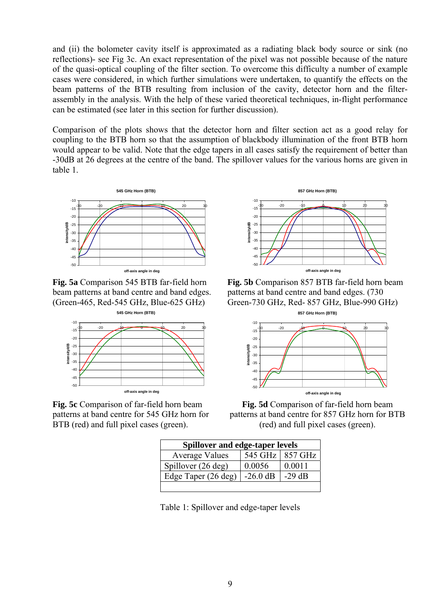and (ii) the bolometer cavity itself is approximated as a radiating black body source or sink (no reflections)- see Fig 3c. An exact representation of the pixel was not possible because of the nature of the quasi-optical coupling of the filter section. To overcome this difficulty a number of example cases were considered, in which further simulations were undertaken, to quantify the effects on the beam patterns of the BTB resulting from inclusion of the cavity, detector horn and the filterassembly in the analysis. With the help of these varied theoretical techniques, in-flight performance can be estimated (see later in this section for further discussion).

Comparison of the plots shows that the detector horn and filter section act as a good relay for coupling to the BTB horn so that the assumption of blackbody illumination of the front BTB horn would appear to be valid. Note that the edge tapers in all cases satisfy the requirement of better than -30dB at 26 degrees at the centre of the band. The spillover values for the various horns are given in table 1.



**Fig. 5a** Comparison 545 BTB far-field horn beam patterns at band centre and band edges. (Green-465, Red-545 GHz, Blue-625 GHz)



**Fig. 5c** Comparison of far-field horn beam patterns at band centre for 545 GHz horn for BTB (red) and full pixel cases (green).



**Fig. 5b** Comparison 857 BTB far-field horn beam patterns at band centre and band edges. (730 Green-730 GHz, Red- 857 GHz, Blue-990 GHz)



**Fig. 5d** Comparison of far-field horn beam patterns at band centre for 857 GHz horn for BTB (red) and full pixel cases (green).

| <b>Spillover and edge-taper levels</b> |                 |          |
|----------------------------------------|-----------------|----------|
| <b>Average Values</b>                  | 545 GHz 857 GHz |          |
| Spillover (26 deg)                     | 0.0056          | 0.0011   |
| Edge Taper (26 deg)                    | $-26.0$ dB      | $-29$ dB |
|                                        |                 |          |

Table 1: Spillover and edge-taper levels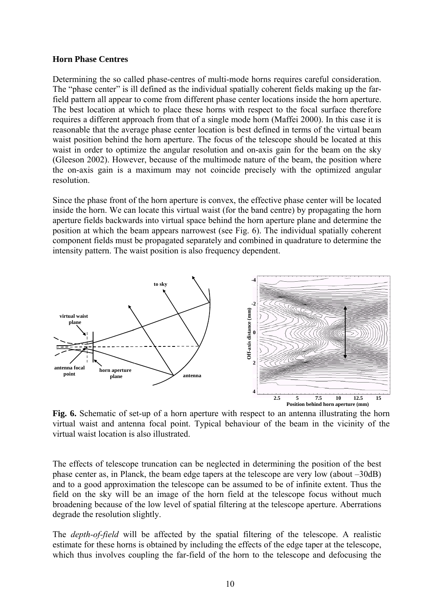#### **Horn Phase Centres**

Determining the so called phase-centres of multi-mode horns requires careful consideration. The "phase center" is ill defined as the individual spatially coherent fields making up the farfield pattern all appear to come from different phase center locations inside the horn aperture. The best location at which to place these horns with respect to the focal surface therefore requires a different approach from that of a single mode horn (Maffei 2000). In this case it is reasonable that the average phase center location is best defined in terms of the virtual beam waist position behind the horn aperture. The focus of the telescope should be located at this waist in order to optimize the angular resolution and on-axis gain for the beam on the sky (Gleeson 2002). However, because of the multimode nature of the beam, the position where the on-axis gain is a maximum may not coincide precisely with the optimized angular resolution.

Since the phase front of the horn aperture is convex, the effective phase center will be located inside the horn. We can locate this virtual waist (for the band centre) by propagating the horn aperture fields backwards into virtual space behind the horn aperture plane and determine the position at which the beam appears narrowest (see Fig. 6). The individual spatially coherent component fields must be propagated separately and combined in quadrature to determine the intensity pattern. The waist position is also frequency dependent.



**Fig. 6.** Schematic of set-up of a horn aperture with respect to an antenna illustrating the horn virtual waist and antenna focal point. Typical behaviour of the beam in the vicinity of the virtual waist location is also illustrated.

The effects of telescope truncation can be neglected in determining the position of the best phase center as, in Planck, the beam edge tapers at the telescope are very low (about –30dB) and to a good approximation the telescope can be assumed to be of infinite extent. Thus the field on the sky will be an image of the horn field at the telescope focus without much broadening because of the low level of spatial filtering at the telescope aperture. Aberrations degrade the resolution slightly.

The *depth-of-field* will be affected by the spatial filtering of the telescope. A realistic estimate for these horns is obtained by including the effects of the edge taper at the telescope, which thus involves coupling the far-field of the horn to the telescope and defocusing the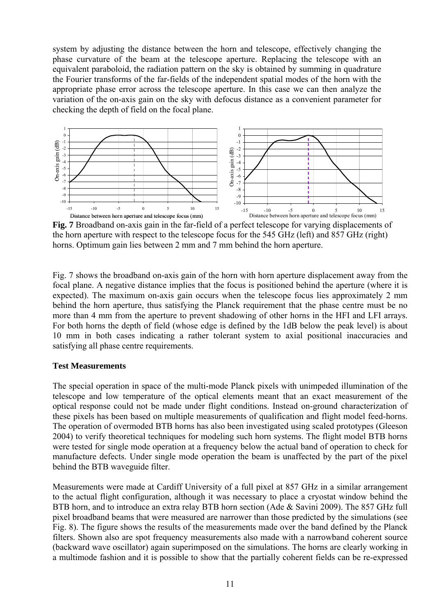system by adjusting the distance between the horn and telescope, effectively changing the phase curvature of the beam at the telescope aperture. Replacing the telescope with an equivalent paraboloid, the radiation pattern on the sky is obtained by summing in quadrature the Fourier transforms of the far-fields of the independent spatial modes of the horn with the appropriate phase error across the telescope aperture. In this case we can then analyze the variation of the on-axis gain on the sky with defocus distance as a convenient parameter for checking the depth of field on the focal plane.



**Fig. 7** Broadband on-axis gain in the far-field of a perfect telescope for varying displacements of the horn aperture with respect to the telescope focus for the 545 GHz (left) and 857 GHz (right) horns. Optimum gain lies between 2 mm and 7 mm behind the horn aperture.

Fig. 7 shows the broadband on-axis gain of the horn with horn aperture displacement away from the focal plane. A negative distance implies that the focus is positioned behind the aperture (where it is expected). The maximum on-axis gain occurs when the telescope focus lies approximately 2 mm behind the horn aperture, thus satisfying the Planck requirement that the phase centre must be no more than 4 mm from the aperture to prevent shadowing of other horns in the HFI and LFI arrays. For both horns the depth of field (whose edge is defined by the 1dB below the peak level) is about 10 mm in both cases indicating a rather tolerant system to axial positional inaccuracies and satisfying all phase centre requirements.

## **Test Measurements**

The special operation in space of the multi-mode Planck pixels with unimpeded illumination of the telescope and low temperature of the optical elements meant that an exact measurement of the optical response could not be made under flight conditions. Instead on-ground characterization of these pixels has been based on multiple measurements of qualification and flight model feed-horns. The operation of overmoded BTB horns has also been investigated using scaled prototypes (Gleeson 2004) to verify theoretical techniques for modeling such horn systems. The flight model BTB horns were tested for single mode operation at a frequency below the actual band of operation to check for manufacture defects. Under single mode operation the beam is unaffected by the part of the pixel behind the BTB waveguide filter.

Measurements were made at Cardiff University of a full pixel at 857 GHz in a similar arrangement to the actual flight configuration, although it was necessary to place a cryostat window behind the BTB horn, and to introduce an extra relay BTB horn section (Ade & Savini 2009). The 857 GHz full pixel broadband beams that were measured are narrower than those predicted by the simulations (see Fig. 8). The figure shows the results of the measurements made over the band defined by the Planck filters. Shown also are spot frequency measurements also made with a narrowband coherent source (backward wave oscillator) again superimposed on the simulations. The horns are clearly working in a multimode fashion and it is possible to show that the partially coherent fields can be re-expressed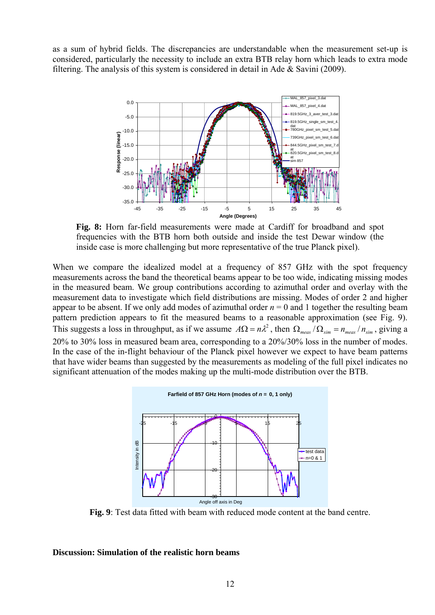as a sum of hybrid fields. The discrepancies are understandable when the measurement set-up is considered, particularly the necessity to include an extra BTB relay horn which leads to extra mode filtering. The analysis of this system is considered in detail in Ade & Savini (2009).



**Fig. 8:** Horn far-field measurements were made at Cardiff for broadband and spot frequencies with the BTB horn both outside and inside the test Dewar window (the inside case is more challenging but more representative of the true Planck pixel).

When we compare the idealized model at a frequency of 857 GHz with the spot frequency measurements across the band the theoretical beams appear to be too wide, indicating missing modes in the measured beam. We group contributions according to azimuthal order and overlay with the measurement data to investigate which field distributions are missing. Modes of order 2 and higher appear to be absent. If we only add modes of azimuthal order  $n = 0$  and 1 together the resulting beam pattern prediction appears to fit the measured beams to a reasonable approximation (see Fig. 9). This suggests a loss in throughput, as if we assume  $A\Omega = n\lambda^2$ , then  $\Omega_{meas}/\Omega_{sim} = n_{meas}/n_{sim}$ , giving a 20% to 30% loss in measured beam area, corresponding to a 20%/30% loss in the number of modes. In the case of the in-flight behaviour of the Planck pixel however we expect to have beam patterns that have wider beams than suggested by the measurements as modeling of the full pixel indicates no significant attenuation of the modes making up the multi-mode distribution over the BTB.



**Fig. 9**: Test data fitted with beam with reduced mode content at the band centre.

#### **Discussion: Simulation of the realistic horn beams**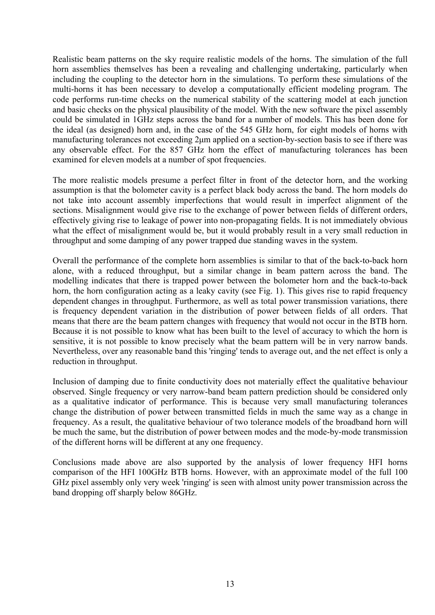Realistic beam patterns on the sky require realistic models of the horns. The simulation of the full horn assemblies themselves has been a revealing and challenging undertaking, particularly when including the coupling to the detector horn in the simulations. To perform these simulations of the multi-horns it has been necessary to develop a computationally efficient modeling program. The code performs run-time checks on the numerical stability of the scattering model at each junction and basic checks on the physical plausibility of the model. With the new software the pixel assembly could be simulated in 1GHz steps across the band for a number of models. This has been done for the ideal (as designed) horn and, in the case of the 545 GHz horn, for eight models of horns with manufacturing tolerances not exceeding 2μm applied on a section-by-section basis to see if there was any observable effect. For the 857 GHz horn the effect of manufacturing tolerances has been examined for eleven models at a number of spot frequencies.

The more realistic models presume a perfect filter in front of the detector horn, and the working assumption is that the bolometer cavity is a perfect black body across the band. The horn models do not take into account assembly imperfections that would result in imperfect alignment of the sections. Misalignment would give rise to the exchange of power between fields of different orders, effectively giving rise to leakage of power into non-propagating fields. It is not immediately obvious what the effect of misalignment would be, but it would probably result in a very small reduction in throughput and some damping of any power trapped due standing waves in the system.

Overall the performance of the complete horn assemblies is similar to that of the back-to-back horn alone, with a reduced throughput, but a similar change in beam pattern across the band. The modelling indicates that there is trapped power between the bolometer horn and the back-to-back horn, the horn configuration acting as a leaky cavity (see Fig. 1). This gives rise to rapid frequency dependent changes in throughput. Furthermore, as well as total power transmission variations, there is frequency dependent variation in the distribution of power between fields of all orders. That means that there are the beam pattern changes with frequency that would not occur in the BTB horn. Because it is not possible to know what has been built to the level of accuracy to which the horn is sensitive, it is not possible to know precisely what the beam pattern will be in very narrow bands. Nevertheless, over any reasonable band this 'ringing' tends to average out, and the net effect is only a reduction in throughput.

Inclusion of damping due to finite conductivity does not materially effect the qualitative behaviour observed. Single frequency or very narrow-band beam pattern prediction should be considered only as a qualitative indicator of performance. This is because very small manufacturing tolerances change the distribution of power between transmitted fields in much the same way as a change in frequency. As a result, the qualitative behaviour of two tolerance models of the broadband horn will be much the same, but the distribution of power between modes and the mode-by-mode transmission of the different horns will be different at any one frequency.

Conclusions made above are also supported by the analysis of lower frequency HFI horns comparison of the HFI 100GHz BTB horns. However, with an approximate model of the full 100 GHz pixel assembly only very week 'ringing' is seen with almost unity power transmission across the band dropping off sharply below 86GHz.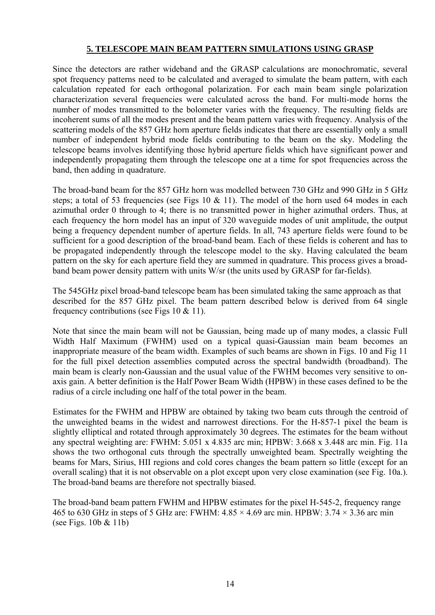## **5. TELESCOPE MAIN BEAM PATTERN SIMULATIONS USING GRASP**

Since the detectors are rather wideband and the GRASP calculations are monochromatic, several spot frequency patterns need to be calculated and averaged to simulate the beam pattern, with each calculation repeated for each orthogonal polarization. For each main beam single polarization characterization several frequencies were calculated across the band. For multi-mode horns the number of modes transmitted to the bolometer varies with the frequency. The resulting fields are incoherent sums of all the modes present and the beam pattern varies with frequency. Analysis of the scattering models of the 857 GHz horn aperture fields indicates that there are essentially only a small number of independent hybrid mode fields contributing to the beam on the sky. Modeling the telescope beams involves identifying those hybrid aperture fields which have significant power and independently propagating them through the telescope one at a time for spot frequencies across the band, then adding in quadrature.

The broad-band beam for the 857 GHz horn was modelled between 730 GHz and 990 GHz in 5 GHz steps; a total of 53 frequencies (see Figs 10  $\&$  11). The model of the horn used 64 modes in each azimuthal order 0 through to 4; there is no transmitted power in higher azimuthal orders. Thus, at each frequency the horn model has an input of 320 waveguide modes of unit amplitude, the output being a frequency dependent number of aperture fields. In all, 743 aperture fields were found to be sufficient for a good description of the broad-band beam. Each of these fields is coherent and has to be propagated independently through the telescope model to the sky. Having calculated the beam pattern on the sky for each aperture field they are summed in quadrature. This process gives a broadband beam power density pattern with units W/sr (the units used by GRASP for far-fields).

The 545GHz pixel broad-band telescope beam has been simulated taking the same approach as that described for the 857 GHz pixel. The beam pattern described below is derived from 64 single frequency contributions (see Figs 10 & 11).

Note that since the main beam will not be Gaussian, being made up of many modes, a classic Full Width Half Maximum (FWHM) used on a typical quasi-Gaussian main beam becomes an inappropriate measure of the beam width. Examples of such beams are shown in Figs. 10 and Fig 11 for the full pixel detection assemblies computed across the spectral bandwidth (broadband). The main beam is clearly non-Gaussian and the usual value of the FWHM becomes very sensitive to onaxis gain. A better definition is the Half Power Beam Width (HPBW) in these cases defined to be the radius of a circle including one half of the total power in the beam.

Estimates for the FWHM and HPBW are obtained by taking two beam cuts through the centroid of the unweighted beams in the widest and narrowest directions. For the H-857-1 pixel the beam is slightly elliptical and rotated through approximately 30 degrees. The estimates for the beam without any spectral weighting are: FWHM: 5.051 x 4.835 arc min; HPBW: 3.668 x 3.448 arc min. Fig. 11a shows the two orthogonal cuts through the spectrally unweighted beam. Spectrally weighting the beams for Mars, Sirius, HII regions and cold cores changes the beam pattern so little (except for an overall scaling) that it is not observable on a plot except upon very close examination (see Fig. 10a.). The broad-band beams are therefore not spectrally biased.

The broad-band beam pattern FWHM and HPBW estimates for the pixel H-545-2, frequency range 465 to 630 GHz in steps of 5 GHz are: FWHM:  $4.85 \times 4.69$  arc min. HPBW:  $3.74 \times 3.36$  arc min (see Figs. 10b & 11b)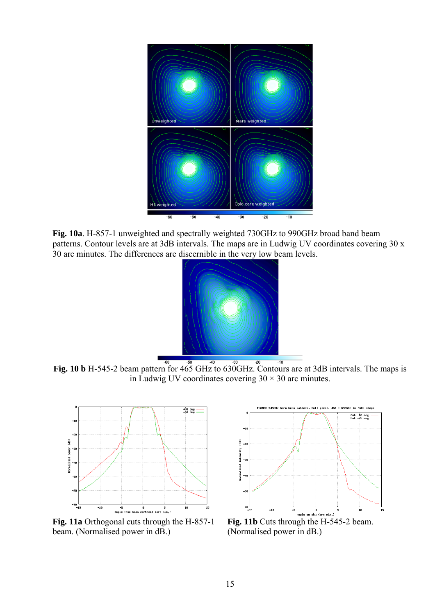

**Fig. 10a**. H-857-1 unweighted and spectrally weighted 730GHz to 990GHz broad band beam patterns. Contour levels are at 3dB intervals. The maps are in Ludwig UV coordinates covering 30 x 30 arc minutes. The differences are discernible in the very low beam levels.



**Fig. 10 b** H-545-2 beam pattern for 465 GHz to 630GHz. Contours are at 3dB intervals. The maps is in Ludwig UV coordinates covering  $30 \times 30$  arc minutes.



**Fig. 11a** Orthogonal cuts through the H-857-1 beam. (Normalised power in dB.)



(Normalised power in dB.)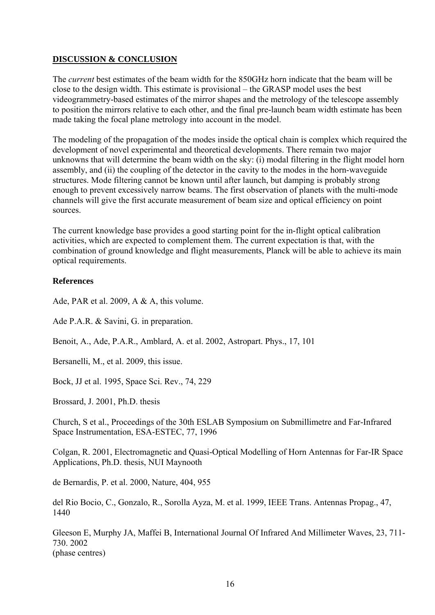## **DISCUSSION & CONCLUSION**

The *current* best estimates of the beam width for the 850GHz horn indicate that the beam will be close to the design width. This estimate is provisional – the GRASP model uses the best videogrammetry-based estimates of the mirror shapes and the metrology of the telescope assembly to position the mirrors relative to each other, and the final pre-launch beam width estimate has been made taking the focal plane metrology into account in the model.

The modeling of the propagation of the modes inside the optical chain is complex which required the development of novel experimental and theoretical developments. There remain two major unknowns that will determine the beam width on the sky: (i) modal filtering in the flight model horn assembly, and (ii) the coupling of the detector in the cavity to the modes in the horn-waveguide structures. Mode filtering cannot be known until after launch, but damping is probably strong enough to prevent excessively narrow beams. The first observation of planets with the multi-mode channels will give the first accurate measurement of beam size and optical efficiency on point sources.

The current knowledge base provides a good starting point for the in-flight optical calibration activities, which are expected to complement them. The current expectation is that, with the combination of ground knowledge and flight measurements, Planck will be able to achieve its main optical requirements.

## **References**

Ade, PAR et al. 2009, A & A, this volume.

Ade P.A.R. & Savini, G. in preparation.

Benoit, A., Ade, P.A.R., Amblard, A. et al. 2002, Astropart. Phys., 17, 101

Bersanelli, M., et al. 2009, this issue.

Bock, JJ et al. 1995, Space Sci. Rev., 74, 229

Brossard, J. 2001, Ph.D. thesis

Church, S et al., Proceedings of the 30th ESLAB Symposium on Submillimetre and Far-Infrared Space Instrumentation, ESA-ESTEC, 77, 1996

Colgan, R. 2001, Electromagnetic and Quasi-Optical Modelling of Horn Antennas for Far-IR Space Applications, Ph.D. thesis, NUI Maynooth

de Bernardis, P. et al. 2000, Nature, 404, 955

del Rio Bocio, C., Gonzalo, R., Sorolla Ayza, M. et al. 1999, IEEE Trans. Antennas Propag., 47, 1440

Gleeson E, Murphy JA, Maffei B, International Journal Of Infrared And Millimeter Waves, 23, 711- 730. 2002 (phase centres)